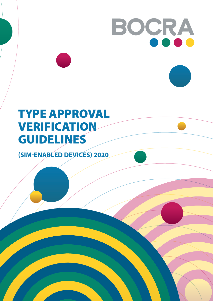

# TYPE APPROVAL VERIFICATION GUIDELINES

**(SIM-ENABLED DEVICES) 2020**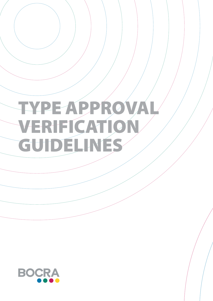# TYPE APPR VERIFICATIO GUIDELINES

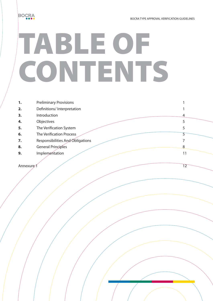# **BOCRA**

# TABLE OF CONTENTS

| 1. | <b>Preliminary Provisions</b>    |   |
|----|----------------------------------|---|
| 2. | Definitions/ Interpretation      |   |
| 3. | Introduction                     | 4 |
| 4. | Objectives                       |   |
| 5. | The Verification System          |   |
| 6. | <b>The Verification Process</b>  |   |
| 7. | Responsibilities And Obligations |   |
| 8. | <b>General Principles</b>        | 8 |
| 9. | Implementation                   |   |

#### Annexure 12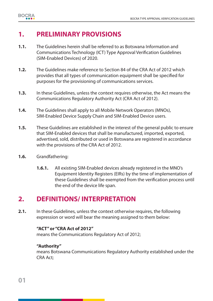

# **1. PRELIMINARY PROVISIONS**

- **1.1.** The Guidelines herein shall be referred to as Botswana Information and Communications Technology (ICT) Type Approval Verification Guidelines (SIM-Enabled Devices) of 2020.
- **1.2.** The Guidelines make reference to Section 84 of the CRA Act of 2012 which provides that all types of communication equipment shall be specified for purposes for the provisioning of communications services.
- **1.3.** In these Guidelines, unless the context requires otherwise, the Act means the Communications Regulatory Authority Act (CRA Act of 2012).
- **1.4.** The Guidelines shall apply to all Mobile Network Operators (MNOs), SIM-Enabled Device Supply Chain and SIM-Enabled Device users.
- **1.5.** These Guidelines are established in the interest of the general public to ensure that SIM-Enabled devices that shall be manufactured, imported, exported, advertised, sold, distributed or used in Botswana are registered in accordance with the provisions of the CRA Act of 2012.
- **1.6.** Grandfathering:
	- **1.6.1.** All existing SIM-Enabled devices already registered in the MNO's Equipment Identity Registers (EIRs) by the time of implementation of these Guidelines shall be exempted from the verification process until the end of the device life span.

# **2. DEFINITIONS/ INTERPRETATION**

**2.1.** In these Guidelines, unless the context otherwise requires, the following expression or word will bear the meaning assigned to them below:

#### **"ACT" or "CRA Act of 2012"**

means the Communications Regulatory Act of 2012;

#### **"Authority"**

 means Botswana Communications Regulatory Authority established under the CRA Act;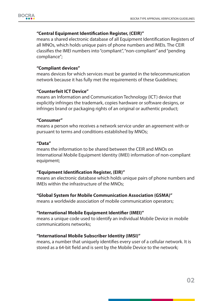

#### "Central Equipment Identification Register, (CEIR)"

means a shared electronic database of all Equipment Identification Registers of all MNOs, which holds unique pairs of phone numbers and IMEIs. The CEIR classifies the IMEI numbers into "compliant", "non-compliant" and "pending compliance";

#### **"Compliant devices"**

 means devices for which services must be granted in the telecommunication network because it has fully met the requirements of these Guidelines;

#### **"Counterfeit ICT Device"**

 means an Information and Communication Technology (ICT) device that explicitly infringes the trademark, copies hardware or software designs, or infringes brand or packaging rights of an original or authentic product;

#### **"Consumer"**

 means a person who receives a network service under an agreement with or pursuant to terms and conditions established by MNOs;

#### **"Data"**

 means the information to be shared between the CEIR and MNOs on International Mobile Equipment Identity (IMEI) information of non-compliant equipment;

#### "Equipment Identification Register, (EIR)"

 means an electronic database which holds unique pairs of phone numbers and IMEIs within the infrastructure of the MNOs;

#### **"Global System for Mobile Communication Association (GSMA)"**

means a worldwide association of mobile communication operators;

#### "International Mobile Equipment Identifier (IMEI)"

 means a unique code used to identify an individual Mobile Device in mobile communications networks;

#### **"International Mobile Subscriber Identity (IMSI)"**

means, a number that uniquely identifies every user of a cellular network. It is stored as a 64-bit field and is sent by the Mobile Device to the network;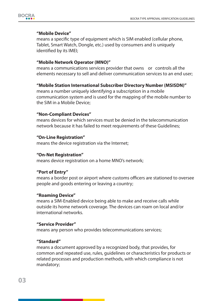

#### **"Mobile Device"**

means a specific type of equipment which is SIM enabled (cellular phone, Tablet, Smart Watch, Dongle, etc.) used by consumers and is uniquely identified by its IMEI;

#### **"Mobile Network Operator (MNO)"**

 means a communications services provider that owns or controls all the elements necessary to sell and deliver communication services to an end user;

#### **"Mobile Station International Subscriber Directory Number (MSISDN)"**

 means a number uniquely identifying a subscription in a mobile communication system and is used for the mapping of the mobile number to the SIM in a Mobile Device;

#### **"Non-Compliant Devices"**

 means devices for which services must be denied in the telecommunication network because it has failed to meet requirements of these Guidelines;

#### **"On-Line Registration"**

means the device registration via the Internet;

#### **"On-Net Registration"**

means device registration on a home MNO's network;

#### **"Port of Entry"**

means a border post or airport where customs officers are stationed to oversee people and goods entering or leaving a country;

#### **"Roaming Device"**

 means a SIM-Enabled device being able to make and receive calls while outside its home network coverage. The devices can roam on local and/or international networks.

#### **"Service Provider"**

means any person who provides telecommunications services;

#### **"Standard"**

 means a document approved by a recognized body, that provides, for common and repeated use, rules, guidelines or characteristics for products or related processes and production methods, with which compliance is not mandatory;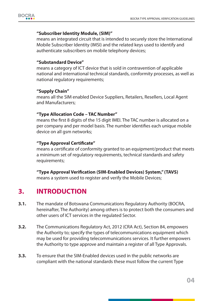

#### **"Subscriber Identity Module, (SIM)"**

 means an integrated circuit that is intended to securely store the International Mobile Subscriber Identity (IMSI) and the related keys used to identify and authenticate subscribers on mobile telephony devices;

#### **"Substandard Device"**

 means a category of ICT device that is sold in contravention of applicable national and international technical standards, conformity processes, as well as national regulatory requirements;

#### **"Supply Chain"**

 means all the SIM enabled Device Suppliers, Retailers, Resellers, Local Agent and Manufacturers;

#### **"Type Allocation Code – TAC Number"**

means the first 8 digits of the 15 digit IMEI. The TAC number is allocated on a per company and per model basis. The number identifies each unique mobile device on all gsm networks;

#### "Type Approval Certificate"

means a certificate of conformity granted to an equipment/product that meets a minimum set of regulatory requirements, technical standards and safety requirements;

"Type Approval Verification (SIM-Enabled Devices) System," (TAVS)

means a system used to register and verify the Mobile Devices;

# **3. INTRODUCTION**

- **3.1.** The mandate of Botswana Communications Regulatory Authority (BOCRA, hereinafter, The Authority) among others is to protect both the consumers and other users of ICT services in the regulated Sector.
- **3.2.** The Communications Regulatory Act, 2012 (CRA Act), Section 84, empowers the Authority to; specify the types of telecommunications equipment which may be used for providing telecommunications services. It further empowers the Authority to type approve and maintain a register of all Type Approvals.
- **3.3.** To ensure that the SIM-Enabled devices used in the public networks are compliant with the national standards these must follow the current Type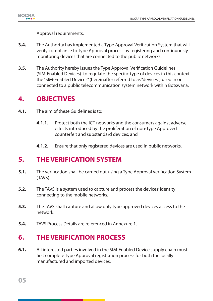

Approval requirements.

- **3.4.** The Authority has implemented a Type Approval Verification System that will verify compliance to Type Approval process by registering and continuously monitoring devices that are connected to the public networks.
- **3.5.** The Authority hereby issues the Type Approval Verification Guidelines (SIM-Enabled Devices) to regulate the specific type of devices in this context the "SIM-Enabled Devices" (hereinafter referred to as "devices") used in or connected to a public telecommunication system network within Botswana.

### **4. OBJECTIVES**

- **4.1.** The aim of these Guidelines is to:
	- **4.1.1.** Protect both the ICT networks and the consumers against adverse effects introduced by the proliferation of non-Type Approved counterfeit and substandard devices; and
	- **4.1.2.** Ensure that only registered devices are used in public networks.

# **5. THE VERIFICATION SYSTEM**

- **5.1.** The verification shall be carried out using a Type Approval Verification System (TAVS).
- **5.2.** The TAVS is a system used to capture and process the devices' identity connecting to the mobile networks.
- **5.3.** The TAVS shall capture and allow only type approved devices access to the network.
- **5.4.** TAVS Process Details are referenced in Annexure 1.

# **6. THE VERIFICATION PROCESS**

**6.1.** All interested parties involved in the SIM-Enabled Device supply chain must first complete Type Approval registration process for both the locally manufactured and imported devices.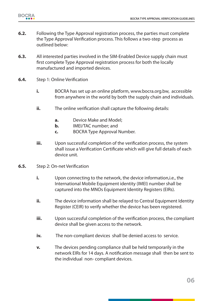

- **6.2.** Following the Type Approval registration process, the parties must complete the Type Approval Verification process. This follows a two-step process as outlined below:
- **6.3.** All interested parties involved in the SIM-Enabled Device supply chain must first complete Type Approval registration process for both the locally manufactured and imported devices.
- **6.4.** Step 1: Online Verification
	- **i.** BOCRA has set up an online platform, www.bocra.org.bw, accessible from anywhere in the world by both the supply chain and individuals.
	- **ii.** The online verification shall capture the following details:
		- **a.** Device Make and Model;
		- **b.** IMEI/TAC number; and
		- **c.** BOCRA Type Approval Number.
	- **iii.** Upon successful completion of the verification process, the system shall issue a Verification Certificate which will give full details of each device unit.
- **6.5.** Step 2: On-net Verification
	- **i.** Upon connecting to the network, the device information,i.e., the International Mobile Equipment identity (IMEI) number shall be captured into the MNOs Equipment Identity Registers (EIRs).
	- **ii.** The device information shall be relayed to Central Equipment Identity Register (CEIR) to verify whether the device has been registered.
	- **iii.** Upon successful completion of the verification process, the compliant device shall be given access to the network.
	- **iv.** The non-compliant devices shall be denied access to service.
	- **v.** The devices pending compliance shall be held temporarily in the network EIRs for 14 days. A notification message shall then be sent to the individual non- compliant devices.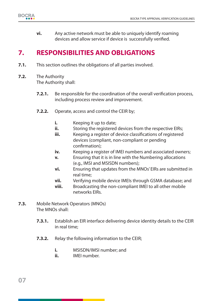

**vi.** Any active network must be able to uniquely identify roaming devices and allow service if device is successfully verified.

# **7. RESPONSIBILITIES AND OBLIGATIONS**

- **7.1.** This section outlines the obligations of all parties involved.
- **7.2.** The Authority The Authority shall:
	- **7.2.1.** Be responsible for the coordination of the overall verification process, including process review and improvement.
	- **7.2.2.** Operate, access and control the CEIR by;
		- **i.** Keeping it up to date;
		- **ii.** Storing the registered devices from the respective EIRs;
		- **iii.** Keeping a register of device classifications of registered devices (compliant, non-compliant or pending confirmation);
		- **iv.** Keeping a register of IMEI numbers and associated owners;
		- **v.** Ensuring that it is in line with the Numbering allocations (e.g., IMSI and MSISDN numbers);
		- **vi.** Ensuring that updates from the MNOs' EIRs are submitted in real time;
		- **vii.** Verifying mobile device IMEIs through GSMA database; and
		- **viii.** Broadcasting the non-compliant IMEI to all other mobile networks EIRs.
- **7.3.** Mobile Network Operators (MNOs) The MNOs shall:
	- **7.3.1.** Establish an EIR interface delivering device identity details to the CEIR in real time;
	- **7.3.2.** Relay the following information to the CEIR;
		- **i.** MSISDN/IMSI number; and
		- **ii.** IMEI number.

**07**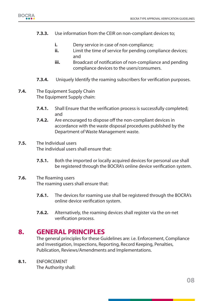

- **7.3.3.** Use information from the CEIR on non-compliant devices to;
	- **i.** Deny service in case of non-compliance;
- **ii.** Limit the time of service for pending compliance devices; and the control of the control of the control of the control of the control of the control of the control of t
	- **iii.** Broadcast of notification of non-compliance and pending compliance devices to the users/consumers.
	- **7.3.4.** Uniquely Identify the roaming subscribers for verification purposes.
- **7.4.** The Equipment Supply Chain The Equipment Supply chain:
	- **7.4.1.** Shall Ensure that the verification process is successfully completed; and
	- **7.4.2.** Are encouraged to dispose off the non-compliant devices in accordance with the waste disposal procedures published by the Department of Waste Management waste.
- **7.5.** The Individual users The individual users shall ensure that:
	- **7.5.1.** Both the imported or locally acquired devices for personal use shall be registered through the BOCRA's online device verification system.
- **7.6.** The Roaming users The roaming users shall ensure that:
	- **7.6.1.** The devices for roaming use shall be registered through the BOCRA's online device verification system.
	- **7.6.2.** Alternatively, the roaming devices shall register via the on-net verification process.

# **8. GENERAL PRINCIPLES**

 The general principles for these Guidelines are: i.e. Enforcement, Compliance and Investigation, Inspections, Reporting, Record Keeping, Penalties, Publication, Reviews/Amendments and Implementations.

**8.1.** ENFORCEMENT The Authority shall: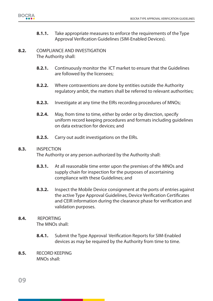

**8.1.1.** Take appropriate measures to enforce the requirements of the Type Approval Verification Guidelines (SIM-Enabled Devices).

#### **8.2.** COMPLIANCE AND INVESTIGATION The Authority shall:

- **8.2.1.** Continuously monitor the ICT market to ensure that the Guidelines are followed by the licensees;
- **8.2.2.** Where contraventions are done by entities outside the Authority regulatory ambit, the matters shall be referred to relevant authorities;
- **8.2.3.** Investigate at any time the EIRs recording procedures of MNOs;
- **8.2.4.** May, from time to time, either by order or by direction, specify uniform record keeping procedures and formats including guidelines on data extraction for devices; and
- **8.2.5.** Carry out audit investigations on the EIRs.

#### **8.3.** INSPECTION

The Authority or any person authorized by the Authority shall:

- **8.3.1.** At all reasonable time enter upon the premises of the MNOs and supply chain for inspection for the purposes of ascertaining compliance with these Guidelines; and
- **8.3.2.** Inspect the Mobile Device consignment at the ports of entries against the active Type Approval Guidelines, Device Verification Certificates and CEIR information during the clearance phase for verification and validation purposes.

#### **8.4.** REPORTING The MNOs shall:

- **8.4.1.** Submit the Type Approval Verification Reports for SIM-Enabled devices as may be required by the Authority from time to time.
- **8.5.** RECORD KEEPING MNOs shall:

**09**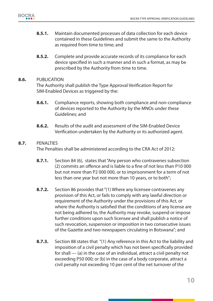

- **8.5.1.** Maintain documented processes of data collection for each device contained in these Guidelines and submit the same to the Authority as required from time to time; and
- **8.5.2.** Complete and provide accurate records of its compliance for each device specified in such a manner and in such a format, as may be prescribed by the Authority from time to time.

#### **8.6.** PUBLICATION

The Authority shall publish the Type Approval Verification Report for SIM-Enabled Devices as triggered by the:

- **8.6.1.** Compliance reports, showing both compliance and non-compliance of devices reported to the Authority by the MNOs under these Guidelines; and
- **8.6.2.** Results of the audit and assessment of the SIM-Enabled Device Verification undertaken by the Authority or its authorized agent.

#### **8.7.** PENALTIES

The Penalties shall be administered according to the CRA Act of 2012:

- **8.7.1.** Section 84 (6), states that "Any person who contravenes subsection  $(2)$  commits an offence and is liable to a fine of not less than P10 000 but not more than P2 000 000, or to imprisonment for a term of not less than one year but not more than 10 years, or to both";
- **8.7.2.** Section 86 provides that "(1) Where any licensee contravenes any provision of this Act, or fails to comply with any lawful direction or requirement of the Authority under the provisions of this Act, or where the Authority is satisfied that the conditions of any license are not being adhered to, the Authority may revoke, suspend or impose further conditions upon such licensee and shall publish a notice of such revocation, suspension or imposition in two consecutive issues of the Gazette and two newspapers circulating in Botswana"; and
- **8.7.3.** Section 88 states that "(1) Any reference in this Act to the liability and imposition of a civil penalty which has not been specifically provided for shall — (a) in the case of an individual, attract a civil penalty not exceeding P50 000; or (b) in the case of a body corporate, attract a civil penalty not exceeding 10 per cent of the net turnover of the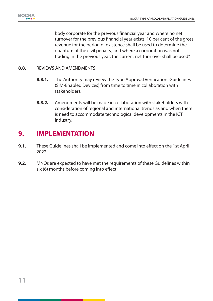body corporate for the previous financial year and where no net turnover for the previous financial year exists, 10 per cent of the gross revenue for the period of existence shall be used to determine the quantum of the civil penalty; and where a corporation was not trading in the previous year, the current net turn over shall be used".

#### **8.8.** REVIEWS AND AMENDMENTS

- **8.8.1.** The Authority may review the Type Approval Verification Guidelines (SIM-Enabled Devices) from time to time in collaboration with stakeholders.
- **8.8.2.** Amendments will be made in collaboration with stakeholders with consideration of regional and international trends as and when there is need to accommodate technological developments in the ICT industry.

# **9. IMPLEMENTATION**

- **9.1.** These Guidelines shall be implemented and come into effect on the 1st April 2022.
- **9.2.** MNOs are expected to have met the requirements of these Guidelines within six (6) months before coming into effect.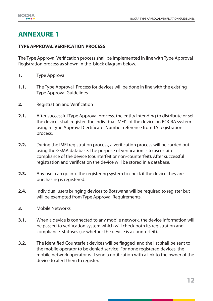

# **ANNEXURE 1**

#### **TYPE APPROVAL VERIFICATION PROCESS**

The Type Approval Verification process shall be implemented in line with Type Approval Registration process as shown in the block diagram below.

- **1.** Type Approval
- **1.1.** The Type Approval Process for devices will be done in line with the existing Type Approval Guidelines
- **2.** Registration and Verification
- **2.1.** After successful Type Approval process, the entity intending to distribute or sell the devices shall register the individual IMEI's of the device on BOCRA system using a Type Approval Certificate Number reference from TA registration process.
- **2.2.** During the IMEI registration process, a verification process will be carried out using the GSMA database. The purpose of verification is to ascertain compliance of the device (counterfeit or non-counterfeit). After successful registration and verification the device will be stored in a database.
- **2.3.** Any user can go into the registering system to check if the device they are purchasing is registered.
- **2.4.** Individual users bringing devices to Botswana will be required to register but will be exempted from Type Approval Requirements.
- **3.** Mobile Networks
- **3.1.** When a device is connected to any mobile network, the device information will be passed to verification system which will check both its registration and compliance statuses (i.e whether the device is a counterfeit).
- **3.2.** The identified Counterfeit devices will be flagged and the list shall be sent to the mobile operator to be denied service. For none registered devices, the mobile network operator will send a notification with a link to the owner of the device to alert them to register.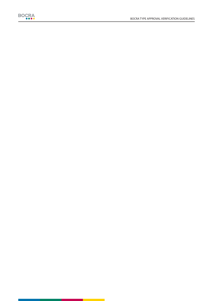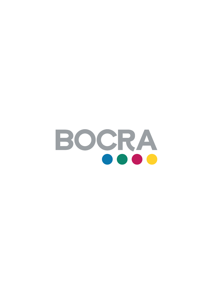